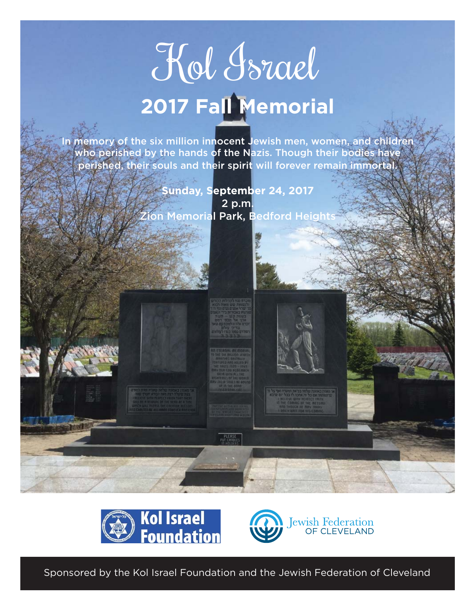## Kol Israel **2017 Fall Memorial**

memory of the six million innocent Jewish men, women, and childre who perished by the hands of the Nazis. Though their bodies have perished, their souls and their spirit will forever remain immortal.

> **Sunday, September 24, 2017** 2 p.m. **Zion Memorial Park, Bedford Height**







- 1 -

Sponsored by the Kol Israel Foundation and the Jewish Federation of Cleveland

PLEASE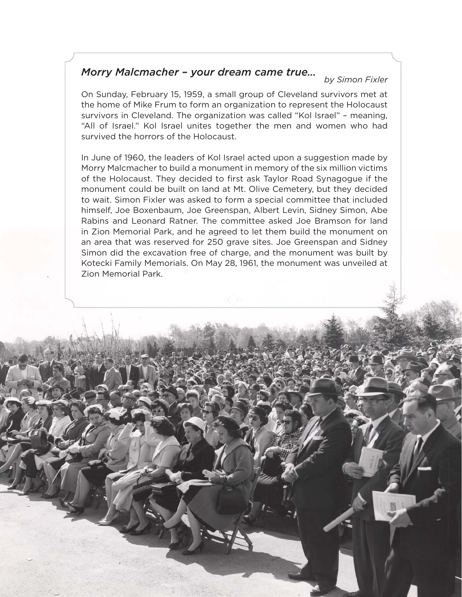## *Morry Malcmacher – your dream came true…*

*by Simon Fixler*

On Sunday, February 15, 1959, a small group of Cleveland survivors met at the home of Mike Frum to form an organization to represent the Holocaust survivors in Cleveland. The organization was called "Kol Israel" – meaning, "All of Israel." Kol Israel unites together the men and women who had survived the horrors of the Holocaust.

In June of 1960, the leaders of Kol Israel acted upon a suggestion made by Morry Malcmacher to build a monument in memory of the six million victims of the Holocaust. They decided to first ask Taylor Road Synagogue if the monument could be built on land at Mt. Olive Cemetery, but they decided to wait. Simon Fixler was asked to form a special committee that included himself, Joe Boxenbaum, Joe Greenspan, Albert Levin, Sidney Simon, Abe Rabins and Leonard Ratner. The committee asked Joe Bramson for land in Zion Memorial Park, and he agreed to let them build the monument on an area that was reserved for 250 grave sites. Joe Greenspan and Sidney Simon did the excavation free of charge, and the monument was built by Kotecki Family Memorials. On May 28, 1961, the monument was unveiled at Zion Memorial Park.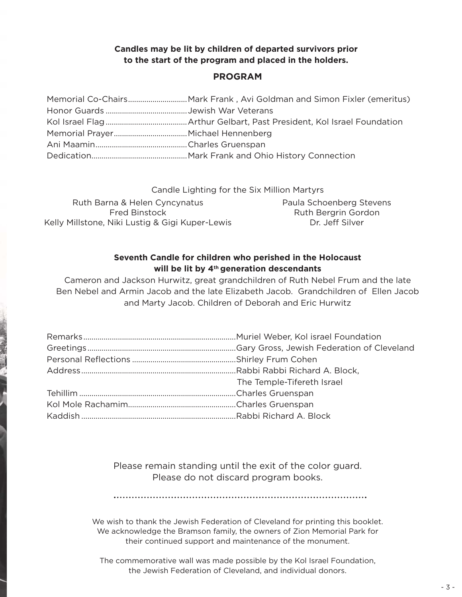#### **Candles may be lit by children of departed survivors prior to the start of the program and placed in the holders.**

#### **PROGRAM**

Candle Lighting for the Six Million Martyrs

Ruth Barna & Helen Cyncynatus Fred Binstock Kelly Millstone, Niki Lustig & Gigi Kuper-Lewis Paula Schoenberg Stevens Ruth Bergrin Gordon Dr. Jeff Silver

#### **Seventh Candle for children who perished in the Holocaust will be lit by 4th generation descendants**

Cameron and Jackson Hurwitz, great grandchildren of Ruth Nebel Frum and the late Ben Nebel and Armin Jacob and the late Elizabeth Jacob. Grandchildren of Ellen Jacob and Marty Jacob. Children of Deborah and Eric Hurwitz

| The Temple-Tifereth Israel |
|----------------------------|
|                            |
|                            |
|                            |
|                            |

Please remain standing until the exit of the color guard. Please do not discard program books.

We wish to thank the Jewish Federation of Cleveland for printing this booklet. We acknowledge the Bramson family, the owners of Zion Memorial Park for their continued support and maintenance of the monument.

The commemorative wall was made possible by the Kol Israel Foundation, the Jewish Federation of Cleveland, and individual donors.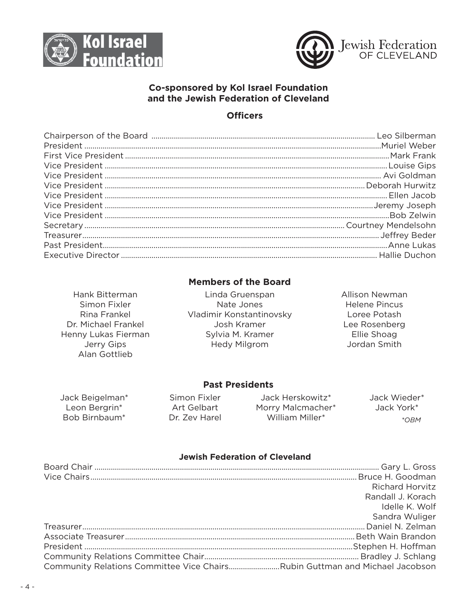



### **Co-sponsored by Kol Israel Foundation and the Jewish Federation of Cleveland**

## **Officers**

| Hank Bitterman      |  |  |  |
|---------------------|--|--|--|
| Simon Fixler        |  |  |  |
| Rina Frankel        |  |  |  |
| Dr. Michael Frankel |  |  |  |
| Henny Lukas Fierman |  |  |  |
| Jerry Gips          |  |  |  |
| Alan Gottlieb       |  |  |  |

### **Members of the Board**

Linda Gruenspan Nate Jones Vladimir Konstantinovsky Josh Kramer Sylvia M. Kramer Hedy Milgrom

Allison Newman Helene Pincus Loree Potash Lee Rosenberg Ellie Shoag Jordan Smith

#### **Past Presidents**

| Jack Beigelman* | Simon Fixler  | Jack Herskowitz*  | Jack Wieder* |
|-----------------|---------------|-------------------|--------------|
| Leon Bergrin*   | Art Gelbart   | Morry Malcmacher* | Jack York*   |
| Bob Birnbaum*   | Dr. Zev Harel | William Miller*   | *OBM         |

#### **Jewish Federation of Cleveland**

|                                                                             | <b>Richard Horvitz</b> |
|-----------------------------------------------------------------------------|------------------------|
|                                                                             | Randall J. Korach      |
|                                                                             | Idelle K. Wolf         |
|                                                                             | Sandra Wuliger         |
|                                                                             |                        |
|                                                                             |                        |
|                                                                             |                        |
|                                                                             |                        |
| Community Relations Committee Vice ChairsRubin Guttman and Michael Jacobson |                        |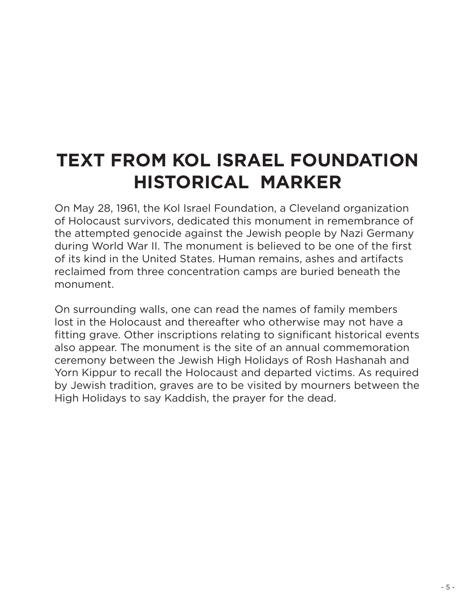## **TEXT FROM KOL ISRAEL FOUNDATION HISTORICAL MARKER**

On May 28, 1961, the Kol Israel Foundation, a Cleveland organization of Holocaust survivors, dedicated this monument in remembrance of the attempted genocide against the Jewish people by Nazi Germany during World War II. The monument is believed to be one of the first of its kind in the United States. Human remains, ashes and artifacts reclaimed from three concentration camps are buried beneath the monument.

On surrounding walls, one can read the names of family members lost in the Holocaust and thereafter who otherwise may not have a fitting grave. Other inscriptions relating to significant historical events also appear. The monument is the site of an annual commemoration ceremony between the Jewish High Holidays of Rosh Hashanah and Yorn Kippur to recall the Holocaust and departed victims. As required by Jewish tradition, graves are to be visited by mourners between the High Holidays to say Kaddish, the prayer for the dead.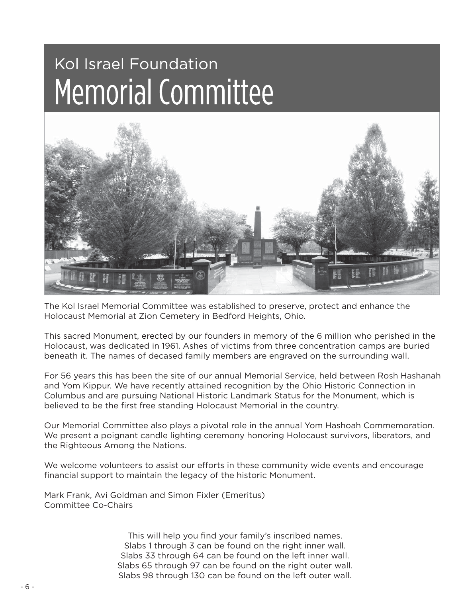## Kol Israel Foundation **Memorial Committee**



The Kol Israel Memorial Committee was established to preserve, protect and enhance the Holocaust Memorial at Zion Cemetery in Bedford Heights, Ohio.

This sacred Monument, erected by our founders in memory of the 6 million who perished in the Holocaust, was dedicated in 1961. Ashes of victims from three concentration camps are buried beneath it. The names of decased family members are engraved on the surrounding wall.

For 56 years this has been the site of our annual Memorial Service, held between Rosh Hashanah and Yom Kippur. We have recently attained recognition by the Ohio Historic Connection in Columbus and are pursuing National Historic Landmark Status for the Monument, which is believed to be the first free standing Holocaust Memorial in the country.

Our Memorial Committee also plays a pivotal role in the annual Yom Hashoah Commemoration. We present a poignant candle lighting ceremony honoring Holocaust survivors, liberators, and the Righteous Among the Nations.

We welcome volunteers to assist our efforts in these community wide events and encourage financial support to maintain the legacy of the historic Monument.

Mark Frank, Avi Goldman and Simon Fixler (Emeritus) Committee Co-Chairs

> This will help you find your family's inscribed names. Slabs 1 through 3 can be found on the right inner wall. Slabs 33 through 64 can be found on the left inner wall. Slabs 65 through 97 can be found on the right outer wall. Slabs 98 through 130 can be found on the left outer wall.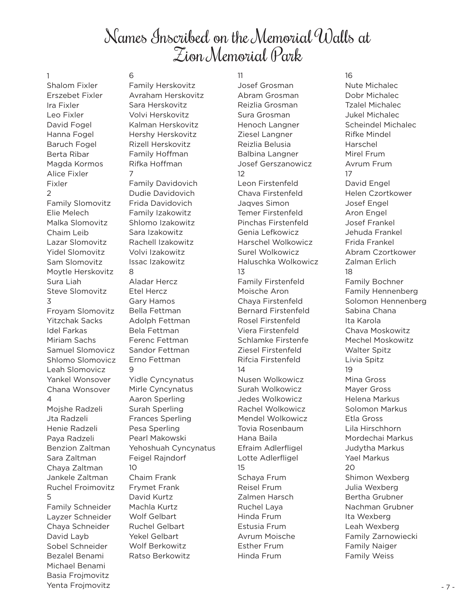#### 1

Shalom Fixler Erszebet Fixler Ira Fixler Leo Fixler David Fogel Hanna Fogel Baruch Fogel Berta Ribar Magda Kormos Alice Fixler Fixler  $\mathfrak{D}$ Family Slomovitz Elie Melech Malka Slomovitz Chaim Leib Lazar Slomovitz Yidel Slomovitz Sam Slomovitz Moytle Herskovitz Sura Liah Steve Slomovitz 3 Froyam Slomovitz Yitzchak Sacks Idel Farkas Miriam Sachs Samuel Slomovicz Shlomo Slomovicz Leah Slomovicz Yankel Wonsover Chana Wonsover 4 Mojshe Radzeli Jta Radzeli Henie Radzeli Paya Radzeli Benzion Zaltman Sara Zaltman Chaya Zaltman Jankele Zaltman Ruchel Froimovitz 5 Family Schneider Layzer Schneider Chaya Schneider David Layb Sobel Schneider Bezalel Benami

Michael Benami Basia Frojmovitz Yenta Frojmovitz 6 Family Herskovitz Avraham Herskovitz Sara Herskovitz Volvi Herskovitz Kalman Herskovitz Hershy Herskovitz Rizell Herskovitz Family Hoffman Rifka Hoffman 7

Family Davidovich Dudie Davidovich Frida Davidovich Family Izakowitz Shlomo Izakowitz Sara Izakowitz Rachell Izakowitz Volvi Izakowitz Issac Izakowitz

Aladar Hercz Etel Hercz Gary Hamos Bella Fettman Adolph Fettman Bela Fettman Ferenc Fettman Sandor Fettman Erno Fettman

8

9 Yidle Cyncynatus Mirle Cyncynatus Aaron Sperling Surah Sperling Frances Sperling Pesa Sperling Pearl Makowski Yehoshuah Cyncynatus Feigel Rajndorf  $1<sub>O</sub>$ Chaim Frank Frymet Frank David Kurtz Machla Kurtz Wolf Gelbart Ruchel Gelbart Yekel Gelbart Wolf Berkowitz Ratso Berkowitz

11

Josef Grosman Abram Grosman Reizlia Grosman Sura Grosman Henoch Langner Ziesel Langner Reizlia Belusia Balbina Langner Josef Gerszanowicz 12 Leon Firstenfeld Chava Firstenfeld Jaqves Simon Temer Firstenfeld Pinchas Firstenfeld Genia Lefkowicz Harschel Wolkowicz Surel Wolkowicz Haluschka Wolkowicz 13 Family Firstenfeld Moische Aron Chaya Firstenfeld Bernard Firstenfeld Rosel Firstenfeld Viera Firstenfeld Schlamke Firstenfe Ziesel Firstenfeld Rifcia Firstenfeld 14 Nusen Wolkowicz Surah Wolkowicz Jedes Wolkowicz Rachel Wolkowicz Mendel Wolkowicz Tovia Rosenbaum Hana Baila Efraim Adlerfligel Lotte Adlerfligel 15 Schaya Frum Reisel Frum Zalmen Harsch Ruchel Laya Hinda Frum Estusia Frum Avrum Moische Esther Frum Hinda Frum

Nute Michalec Dobr Michalec Tzalel Michalec Jukel Michalec Scheindel Michalec Rifke Mindel Harschel Mirel Frum Avrum Frum David Engel Helen Czortkower Josef Engel Aron Engel Josef Frankel Jehuda Frankel Frida Frankel Abram Czortkower Zalman Erlich Family Bochner Family Hennenberg Solomon Hennenberg Sabina Chana Ita Karola Chava Moskowitz Mechel Moskowitz Walter Spitz Livia Spitz Mina Gross Mayer Gross Helena Markus Solomon Markus Etla Gross Lila Hirschhorn Mordechai Markus Judytha Markus Yael Markus Shimon Wexberg Julia Wexberg Bertha Grubner

16

17

18

19

20

Nachman Grubner

Ita Wexberg Leah Wexberg Family Zarnowiecki Family Naiger Family Weiss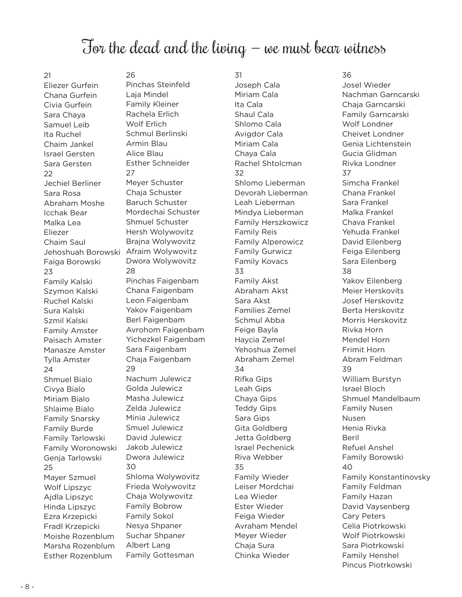## For the dead and the living  $-$  we must bear witness

21 Eliezer Gurfein Chana Gurfein Civia Gurfein Sara Chaya Samuel Leib Ita Ruchel Chaim Jankel Israel Gersten Sara Gersten 22 Jechiel Berliner Sara Rosa Abraham Moshe Icchak Bear Malka Lea Eliezer Chaim Saul Jehoshuah Borowski Afraim Wolywovitz Faiga Borowski 23 Family Kalski Szymon Kalski Ruchel Kalski Sura Kalski Szmil Kalski Family Amster Paisach Amster Manasze Amster Tylla Amster 24 Shmuel Bialo Civya Bialo Miriam Bialo Shlaime Bialo Family Snarsky Family Burde Family Tarlowski Family Woronowski Genja Tarlowski 25 Mayer Szmuel Wolf Lipszyc Ajdla Lipszyc Hinda Lipszyc Ezra Krzepicki Fradl Krzepicki Moishe Rozenblum Marsha Rozenblum Esther Rozenblum

26 Pinchas Steinfeld Laja Mindel Family Kleiner Rachela Erlich Wolf Erlich Schmul Berlinski Armin Blau Alice Blau Esther Schneider 27 Meyer Schuster Chaja Schuster Baruch Schuster Mordechai Schuster Shmuel Schuster Hersh Wolywovitz Brajna Wolywovitz Dwora Wolywovitz 28 Pinchas Faigenbam Chana Faigenbam Leon Faigenbam Yakov Faigenbam Berl Faigenbam Avrohom Faigenbam Yichezkel Faigenbam Sara Faigenbam Chaja Faigenbam 29 Nachum Julewicz Golda Julewicz Masha Julewicz Zelda Julewicz Minia Julewicz Smuel Julewicz David Julewicz Jakob Julewicz Dwora Julewicz 30 Shloma Wolywovitz Frieda Wolywovitz Chaja Wolywovitz Family Bobrow Family Sokol Nesya Shpaner Suchar Shpaner Albert Lang Family Gottesman

31 Joseph Cala Miriam Cala Ita Cala Shaul Cala Shlomo Cala Avigdor Cala Miriam Cala Chaya Cala Rachel Shtolcman 32 Shlomo Lieberman Devorah Lieberman Leah Lieberman Mindya Lieberman Family Herszkowicz Family Reis Family Alperowicz Family Gurwicz Family Kovacs 33 Family Akst Abraham Akst Sara Akst Families Zemel Schmul Abba Feige Bayla Haycia Zemel Yehoshua Zemel Abraham Zemel 34 Rifka Gips Leah Gips Chaya Gips Teddy Gips Sara Gips Gita Goldberg Jetta Goldberg Israel Pechenick Riva Webber 35 Family Wieder Leiser Mordchai Lea Wieder Ester Wieder Feiga Wieder Avraham Mendel Meyer Wieder Chaja Sura Chinka Wieder

36 Josel Wieder Nachman Garncarski Chaja Garncarski Family Garncarski Wolf Londner Cheivet Londner Genia Lichtenstein Gucia Glidman Rivka Londner 37 Simcha Frankel Chana Frankel Sara Frankel Malka Frankel Chava Frankel Yehuda Frankel David Eilenberg Feiga Eilenberg Sara Eilenberg 38 Yakov Eilenberg Meier Herskovits Josef Herskovitz Berta Herskovitz Morris Herskovitz Rivka Horn Mendel Horn Frimit Horn Abram Feldman 39 William Burstyn Israel Bloch Shmuel Mandelbaum Family Nusen Nusen Henia Rivka Beril Refuel Anshel Family Borowski 40 Family Konstantinovsky Family Feldman Family Hazan David Vaysenberg Cary Peters Celia Piotrkowski Wolf Piotrkowski Sara Piotrkowski Family Henshel Pincus Piotrkowski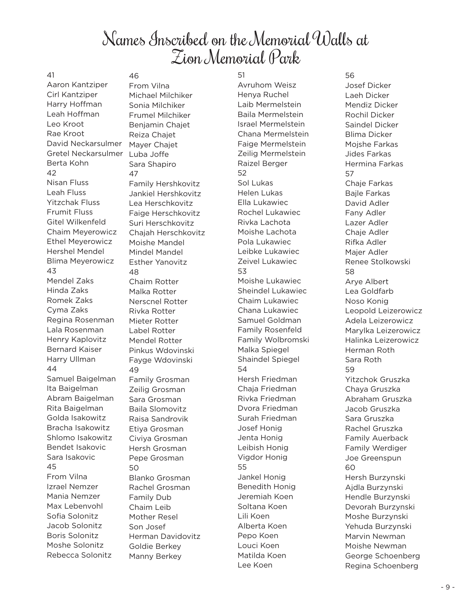41

Aaron Kantziper Cirl Kantziper Harry Hoffman Leah Hoffman Leo Kroot Rae Kroot David Neckarsulmer Gretel Neckarsulmer Luba Joffe Berta Kohn 42 Nisan Fluss Leah Fluss Yitzchak Fluss Frumit Fluss Gitel Wilkenfeld Chaim Meyerowicz Ethel Meyerowicz Hershel Mendel Blima Meyerowicz 43 Mendel Zaks Hinda Zaks Romek Zaks Cyma Zaks Regina Rosenman Lala Rosenman Henry Kaplovitz Bernard Kaiser Harry Ullman 44 Samuel Baigelman Ita Baigelman Abram Baigelman Rita Baigelman Golda Isakowitz Bracha Isakowitz Shlomo Isakowitz Bendet Isakovic Sara Isakovic 45 From Vilna Izrael Nemzer Mania Nemzer Max Lebenvohl Sofia Solonitz Jacob Solonitz Boris Solonitz Moshe Solonitz Rebecca Solonitz

46

From Vilna Michael Milchiker Sonia Milchiker Frumel Milchiker Benjamin Chajet Reiza Chajet Mayer Chajet Sara Shapiro 47 Family Hershkovitz Jankiel Hershkovitz Lea Herschkovitz Faige Herschkovitz Suri Herschkovitz Chajah Herschkovitz Moishe Mandel Mindel Mandel Esther Yanovitz 48 Chaim Rotter Malka Rotter Nerscnel Rotter Rivka Rotter Mieter Rotter Label Rotter Mendel Rotter Pinkus Wdovinski Fayge Wdovinski 49 Family Grosman Zeilig Grosman Sara Grosman Baila Slomovitz Raisa Sandrovik Etiya Grosman Civiya Grosman Hersh Grosman Pepe Grosman 50 Blanko Grosman Rachel Grosman Family Dub Chaim Leib Mother Resel Son Josef Herman Davidovitz Goldie Berkey Manny Berkey

51 Avruhom Weisz Henya Ruchel Laib Mermelstein Baila Mermelstein Israel Mermelstein Chana Mermelstein Faige Mermelstein Zeilig Mermelstein Raizel Berger 52 Sol Lukas Helen Lukas Ella Lukawiec Rochel Lukawiec Rivka Lachota Moishe Lachota Pola Lukawiec Leibke Lukawiec Zeivel Lukawiec 53 Moishe Lukawiec Sheindel Lukawiec Chaim Lukawiec Chana Lukawiec Samuel Goldman Family Rosenfeld Family Wolbromski Malka Spiegel Shaindel Spiegel 54 Hersh Friedman Chaja Friedman Rivka Friedman Dvora Friedman Surah Friedman Josef Honig Jenta Honig Leibish Honig Vigdor Honig 55 Jankel Honig Benedith Honig Jeremiah Koen Soltana Koen Lili Koen Alberta Koen Pepo Koen Louci Koen Matilda Koen Lee Koen

56 Josef Dicker Laeh Dicker Mendiz Dicker Rochil Dicker Saindel Dicker Blima Dicker Mojshe Farkas Jides Farkas Hermina Farkas 57 Chaje Farkas Bajle Farkas David Adler Fany Adler Lazer Adler Chaje Adler Rifka Adler Majer Adler Renee Stolkowski 58 Arye Albert Lea Goldfarb Noso Konig Leopold Leizerowicz Adela Leizerowicz Marylka Leizerowicz Halinka Leizerowicz Herman Roth Sara Roth 59 Yitzchok Gruszka Chaya Gruszka Abraham Gruszka Jacob Gruszka Sara Gruszka Rachel Gruszka Family Auerback Family Werdiger Joe Greenspun 60 Hersh Burzynski Ajdla Burzynski Hendle Burzynski Devorah Burzynski Moshe Burzynski Yehuda Burzynski Marvin Newman Moishe Newman George Schoenberg Regina Schoenberg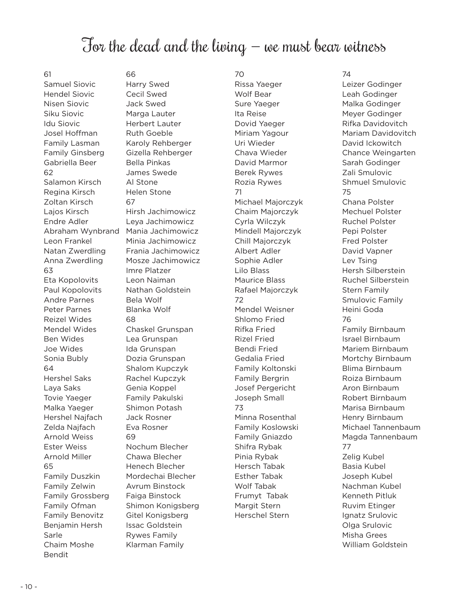## For the dead and the living  $-$  we must bear witness

#### 61

Samuel Siovic Hendel Siovic Nisen Siovic Siku Siovic Idu Siovic Josel Hoffman Family Lasman Family Ginsberg Gabriella Beer 62 Salamon Kirsch Regina Kirsch Zoltan Kirsch Lajos Kirsch Endre Adler Abraham Wynbrand Leon Frankel Natan Zwerdling Anna Zwerdling 63 Eta Kopolovits Paul Kopolovits Andre Parnes Peter Parnes Reizel Wides Mendel Wides Ben Wides Joe Wides Sonia Bubly 64 Hershel Saks Laya Saks Tovie Yaeger Malka Yaeger Hershel Najfach Zelda Najfach Arnold Weiss Ester Weiss Arnold Miller 65 Family Duszkin Family Zelwin Family Grossberg Family Ofman Family Benovitz Benjamin Hersh Sarle Chaim Moshe Bendit

66 Harry Swed Cecil Swed Jack Swed Marga Lauter Herbert Lauter Ruth Goeble Karoly Rehberger Gizella Rehberger Bella Pinkas James Swede Al Stone Helen Stone 67 Hirsh Jachimowicz Leya Jachimowicz Mania Jachimowicz Minia Jachimowicz Frania Jachimowicz Mosze Jachimowicz Imre Platzer Leon Naiman Nathan Goldstein Bela Wolf Blanka Wolf 68 Chaskel Grunspan Lea Grunspan Ida Grunspan Dozia Grunspan Shalom Kupczyk Rachel Kupczyk Genia Koppel Family Pakulski Shimon Potash Jack Rosner Eva Rosner 69 Nochum Blecher Chawa Blecher Henech Blecher Mordechai Blecher Avrum Binstock Faiga Binstock Shimon Konigsberg Gitel Konigsberg Issac Goldstein Rywes Family Klarman Family

70 Rissa Yaeger Wolf Bear Sure Yaeger Ita Reise Dovid Yaeger Miriam Yagour Uri Wieder Chava Wieder David Marmor Berek Rywes Rozia Rywes 71 Michael Majorczyk Chaim Majorczyk Cyrla Wilczyk Mindell Majorczyk Chill Majorczyk Albert Adler Sophie Adler Lilo Blass Maurice Blass Rafael Majorczyk 72 Mendel Weisner Shlomo Fried Rifka Fried Rizel Fried Bendi Fried Gedalia Fried Family Koltonski Family Bergrin Josef Pergericht Joseph Small 73 Minna Rosenthal Family Koslowski Family Gniazdo Shifra Rybak Pinia Rybak Hersch Tabak Esther Tabak Wolf Tabak Frumyt Tabak Margit Stern Herschel Stern

74 Leizer Godinger Leah Godinger Malka Godinger Meyer Godinger Rifka Davidovitch Mariam Davidovitch David Ickowitch Chance Weingarten Sarah Godinger Zali Smulovic Shmuel Smulovic 75 Chana Polster Mechuel Polster Ruchel Polster Pepi Polster Fred Polster David Vapner Lev Tsing Hersh Silberstein Ruchel Silberstein Stern Family Smulovic Family Heini Goda 76 Family Birnbaum Israel Birnbaum Mariem Birnbaum Mortchy Birnbaum Blima Birnbaum Roiza Birnbaum Aron Birnbaum Robert Birnbaum Marisa Birnbaum Henry Birnbaum Michael Tannenbaum Magda Tannenbaum 77 Zelig Kubel Basia Kubel Joseph Kubel Nachman Kubel Kenneth Pitluk Ruvim Etinger Ignatz Srulovic Olga Srulovic Misha Grees

William Goldstein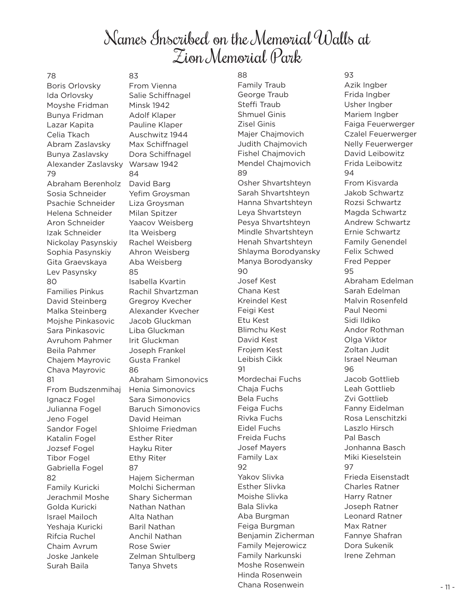78 Boris Orlovsky Ida Orlovsky Moyshe Fridman Bunya Fridman Lazar Kapita Celia Tkach Abram Zaslavsky Bunya Zaslavsky Alexander Zaslavsky 79 Abraham Berenholz Sosia Schneider Psachie Schneider Helena Schneider Aron Schneider Izak Schneider Nickolay Pasynskiy Sophia Pasynskiy Gita Graevskaya Lev Pasynsky 80 Families Pinkus David Steinberg Malka Steinberg Mojshe Pinkasovic Sara Pinkasovic Avruhom Pahmer Beila Pahmer Chajem Mayrovic Chava Mayrovic 81 From Budszenmihaj Ignacz Fogel Julianna Fogel Jeno Fogel Sandor Fogel Katalin Fogel Jozsef Fogel Tibor Fogel Gabriella Fogel 82 Family Kuricki Jerachmil Moshe Golda Kuricki Israel Mailoch Yeshaja Kuricki Rifcia Ruchel Chaim Avrum Joske Jankele Surah Baila

83 From Vienna Salie Schiffnagel Minsk 1942 Adolf Klaper Pauline Klaper Auschwitz 1944 Max Schiffnagel Dora Schiffnagel Warsaw 1942 84 David Barg Yefim Groysman Liza Groysman Milan Spitzer Yaacov Weisberg Ita Weisberg Rachel Weisberg Ahron Weisberg Aba Weisberg 85 Isabella Kvartin Rachil Shvartzman Gregroy Kvecher Alexander Kvecher Jacob Gluckman Liba Gluckman Irit Gluckman Joseph Frankel Gusta Frankel 86 Abraham Simonovics Henia Simonovics Sara Simonovics Baruch Simonovics David Heiman Shloime Friedman Esther Riter Hayku Riter Ethy Riter 87 Hajem Sicherman Molchi Sicherman Shary Sicherman Nathan Nathan Alta Nathan Baril Nathan Anchil Nathan Rose Swier Zelman Shtulberg Tanya Shvets

88 Family Traub George Traub Steffi Traub Shmuel Ginis Zisel Ginis Majer Chajmovich Judith Chajmovich Fishel Chajmovich Mendel Chajmovich 89 Osher Shvartshteyn Sarah Shvartshteyn Hanna Shvartshteyn Leya Shvartsteyn Pesya Shvartshteyn Mindle Shvartshteyn Henah Shvartshteyn Shlayma Borodyansky Manya Borodyansky 90 Josef Kest Chana Kest Kreindel Kest Feigi Kest Etu Kest Blimchu Kest David Kest Frojem Kest Leibish Cikk 91 Mordechai Fuchs Chaja Fuchs Bela Fuchs Feiga Fuchs Rivka Fuchs Eidel Fuchs Freida Fuchs Josef Mayers Family Lax 92 Yakov Slivka Esther Slivka Moishe Slivka Bala Slivka Aba Burgman Feiga Burgman Benjamin Zicherman Family Mejerowicz Family Narkunski Moshe Rosenwein Hinda Rosenwein

Chana Rosenwein

#### 93

Azik Ingber Frida Ingber Usher Ingber Mariem Ingber Faiga Feuerwerger Czalel Feuerwerger Nelly Feuerwerger David Leibowitz Frida Leibowitz  $Q_{\Lambda}$ From Kisvarda Jakob Schwartz Rozsi Schwartz Magda Schwartz Andrew Schwartz Ernie Schwartz Family Genendel Felix Schwed Fred Pepper 95 Abraham Edelman Sarah Edelman Malvin Rosenfeld Paul Neomi Sidi Ildiko Andor Rothman Olga Viktor Zoltan Judit Israel Neuman 96 Jacob Gottlieb Leah Gottlieb Zvi Gottlieb Fanny Eidelman Rosa Lenschitzki Laszlo Hirsch Pal Basch Jonhanna Basch Miki Kieselstein 97 Frieda Eisenstadt Charles Ratner Harry Ratner Joseph Ratner Leonard Ratner Max Ratner Fannye Shafran Dora Sukenik Irene Zehman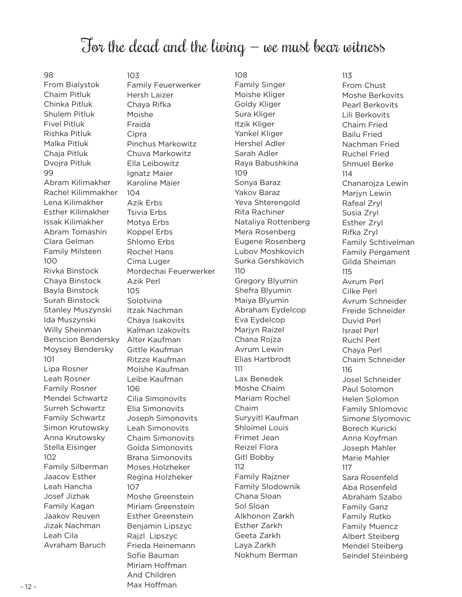## For the dead and the living  $-$  we must bear witness

98 From Bialystok Chaim Pitluk Chinka Pitluk Shulem Pitluk Fivel Pitluk Rishka Pitluk Malka Pitluk Chaja Pitluk Dvojra Pitluk 99 Abram Kilimakher Rachel Kilimmakher Lena Kilimakher Esther Kilimakher Issak Kilimakher Abram Tomashin Clara Gelman Family Milsteen 100 Rivka Binstock Chaya Binstock Bayla Binstock Surah Binstock Stanley Muszynski Ida Muszynski Willy Sheinman Benscion Bendersky Moysey Bendersky 101 Lipa Rosner Leah Rosner Family Rosner Mendel Schwartz Surreh Schwartz Family Schwartz Simon Krutowsky Anna Krutowsky Stella Eisinger 102 Family Silberman Jaacov Esther Leah Hancha Josef Jizhak Family Kagan Jaakov Reuven Jizak Nachman Leah Cila Avraham Baruch

103 Family Feuerwerker Hersh Laizer Chaya Rifka Moishe Fraida Cipra Pinchus Markowitz Chuva Markowitz Ella Leibowitz Ignatz Maier Karoline Maier 104 Azik Erbs Tsivia Erbs Motya Erbs Koppel Erbs Shlomo Erbs Rochel Hans Cima Luger Mordechai Feuerwerker Azik Perl 105 Solotvina Itzak Nachman Chaya Isakovits Kalman Izakovits Alter Kaufman Gittle Kaufman Ritzze Kaufman Moishe Kaufman Leibe Kaufman 106 Cilia Simonovits Elia Simonovits Joseph Simonovits Leah Simonovits Chaim Simonovits Golda Simonovits Brana Simonovits Moses Holzheker Regina Holzheker 107 Moshe Greenstein Miriam Greenstein Esther Greenstein Benjamin Lipszyc Rajzl Lipszyc Frieda Heinemann Sofie Bauman Miriam Hoffman And Children

Max Hoffman

108 Family Singer Moishe Kliger Goldy Kliger Sura Kliger Itzik Kliger Yankel Kliger Hershel Adler Sarah Adler Raya Babushkina 109 Sonya Baraz Yakov Baraz Yeva Shterengold Rita Rachiner Nataliya Rottenberg Mera Rosenberg Eugene Rosenberg Lubov Moshkovich Surka Gershkovich 110 Gregory Blyumin Shefra Blyumin Maiya Blyumin Abraham Eydelcop Eva Eydelcop Marjyn Raizel Chana Rojza Avrum Lewin Elias Hartbrodt 111 Lax Benedek Moshe Chaim Mariam Rochel Chaim Suryyitl Kaufman Shloimel Louis Frimet Jean Reizel Flora Gitl Bobby 112 Family Rajzner Family Slodownik Chana Sloan Sol Sloan Alkhonon Zarkh Esther Zarkh Geeta Zarkh Laya Zarkh Nokhum Berman

113 From Chust Moshe Berkovits Pearl Berkovits Lili Berkovits Chaim Fried Bailu Fried Nachman Fried Ruchel Fried Shmuel Berke 114 Chanarojza Lewin Marjyn Lewin Rafeal Zryl Susia Zryl Esther Zryl Rifka Zryl Family Schtivelman Family Pergament Gilda Sheiman 115 Avrum Perl Cilke Perl Avrum Schneider Freide Schneider Duvid Perl Israel Perl Ruchl Perl Chaya Perl Chaim Schneider 116 Josel Schneider Paul Solomon Helen Solomon Family Shlomovic Simone Slyomovic Borech Kuricki Anna Koyfman Joseph Mahler Marie Mahler 117 Sara Rosenfeld Aba Rosenfeld Abraham Szabo Family Ganz Family Rutko Family Muencz Albert Steiberg Mendel Steiberg Seindel Steinberg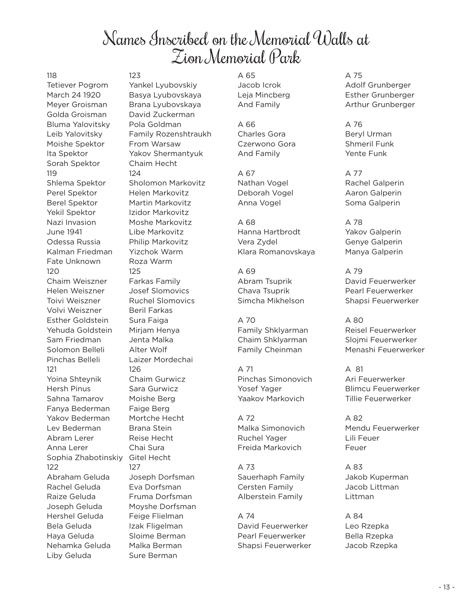118

Tetiever Pogrom March 24 1920 Meyer Groisman Golda Groisman Bluma Yalovitsky Leib Yalovitsky Moishe Spektor Ita Spektor Sorah Spektor 119 Shlema Spektor Perel Spektor Berel Spektor Yekil Spektor Nazi Invasion June 1941 Odessa Russia Kalman Friedman Fate Unknown 120 Chaim Weiszner Helen Weiszner Toivi Weiszner Volvi Weiszner Esther Goldstein Yehuda Goldstein Sam Friedman Solomon Belleli Pinchas Belleli 121 Yoina Shteynik Hersh Pinus Sahna Tamarov Fanya Bederman Yakov Bederman Lev Bederman Abram Lerer Anna Lerer Sophia Zhabotinskiy 122 Abraham Geluda Rachel Geluda Raize Geluda Joseph Geluda Hershel Geluda Bela Geluda Haya Geluda Nehamka Geluda Liby Geluda

123

Yankel Lyubovskiy Basya Lyubovskaya Brana Lyubovskaya David Zuckerman Pola Goldman Family Rozenshtraukh From Warsaw Yakov Shermantyuk Chaim Hecht 124 Sholomon Markovitz Helen Markovitz Martin Markovitz Izidor Markovitz Moshe Markovitz Libe Markovitz Philip Markovitz Yizchok Warm Roza Warm 125 Farkas Family Josef Slomovics Ruchel Slomovics Beril Farkas Sura Faiga Mirjam Henya Jenta Malka Alter Wolf Laizer Mordechai 126 Chaim Gurwicz Sara Gurwicz Moishe Berg Faige Berg Mortche Hecht Brana Stein Reise Hecht Chai Sura Gitel Hecht 127 Joseph Dorfsman Eva Dorfsman Fruma Dorfsman Moyshe Dorfsman Feige Flielman Izak Fligelman Sloime Berman Malka Berman Sure Berman

A 65 Jacob Icrok Leja Mincberg And Family

A 66 Charles Gora Czerwono Gora And Family

A 67 Nathan Vogel Deborah Vogel Anna Vogel

A 68 Hanna Hartbrodt Vera Zydel Klara Romanovskaya

A 69 Abram Tsuprik Chava Tsuprik Simcha Mikhelson

A 70 Family Shklyarman Chaim Shklyarman Family Cheinman

A 71 Pinchas Simonovich Yosef Yager Yaakov Markovich

A 72 Malka Simonovich Ruchel Yager Freida Markovich

A 73 Sauerhaph Family Cersten Family Alberstein Family

A 74 David Feuerwerker Pearl Feuerwerker Shapsi Feuerwerker A 75 Adolf Grunberger Esther Grunberger Arthur Grunberger

A 76 Beryl Urman Shmeril Funk Yente Funk

A 77 Rachel Galperin Aaron Galperin Soma Galperin

A 78 Yakov Galperin Genye Galperin Manya Galperin

A 79 David Feuerwerker Pearl Feuerwerker Shapsi Feuerwerker

A 80 Reisel Feuerwerker Slojmi Feuerwerker Menashi Feuerwerker

A 81 Ari Feuerwerker Blimcu Feuerwerker Tillie Feuerwerker

A 82 Mendu Feuerwerker Lili Feuer Feuer

A 83 Jakob Kuperman Jacob Littman Littman

A 84 Leo Rzepka Bella Rzepka Jacob Rzepka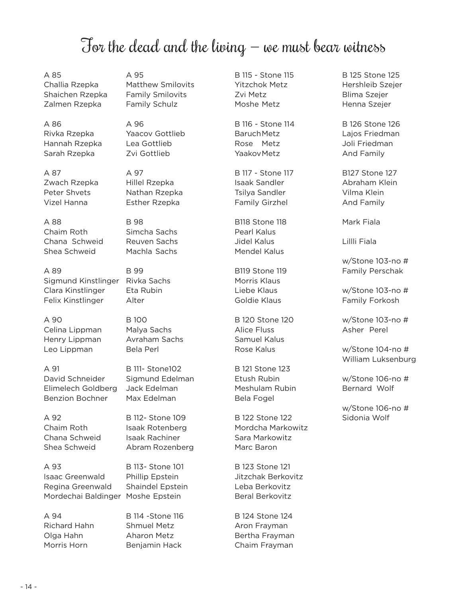## For the dead and the living  $-$  we must bear witness

A 85 Challia Rzepka Shaichen Rzepka Zalmen Rzepka

A 86 Rivka Rzepka Hannah Rzepka Sarah Rzepka

A 87 Zwach Rzepka Peter Shvets Vizel Hanna

A 88 Chaim Roth Chana Schweid Shea Schweid

A 89 Sigmund Kinstlinger Clara Kinstlinger Felix Kinstlinger

A 90 Celina Lippman Henry Lippman Leo Lippman

A 91 David Schneider Elimelech Goldberg Benzion Bochner

A 92 Chaim Roth Chana Schweid Shea Schweid

A 93 Isaac Greenwald Regina Greenwald Mordechai Baldinger Moshe Epstein

A 94 Richard Hahn Olga Hahn Morris Horn

A 95 Matthew Smilovits Family Smilovits Family Schulz

A 96 Yaacov Gottlieb Lea Gottlieb Zvi Gottlieb

A 97 Hillel Rzepka Nathan Rzepka Esther Rzepka

B 98 Simcha Sachs Reuven Sachs Machla Sachs

B 99 Rivka Sachs Eta Rubin Alter

B 100 Malya Sachs Avraham Sachs Bela Perl

B 111- Stone102 Sigmund Edelman Jack Edelman Max Edelman

B 112- Stone 109 Isaak Rotenberg Isaak Rachiner Abram Rozenberg

B 113- Stone 101 Phillip Epstein Shaindel Epstein

B 114 -Stone 116 Shmuel Metz Aharon Metz Benjamin Hack

B 115 - Stone 115 Yitzchok Metz Zvi Metz Moshe Metz

B 116 - Stone 114 Baruch Metz Rose Metz Yaakov Metz

B 117 - Stone 117 Isaak Sandler Tsilya Sandler Family Girzhel

B118 Stone 118 Pearl Kalus Jidel Kalus Mendel Kalus

B119 Stone 119 Morris Klaus Liebe Klaus Goldie Klaus

B 120 Stone 120 Alice Fluss Samuel Kalus Rose Kalus

B 121 Stone 123 Etush Rubin Meshulam Rubin Bela Fogel

B 122 Stone 122 Mordcha Markowitz Sara Markowitz Marc Baron

B 123 Stone 121 Jitzchak Berkovitz Leba Berkovitz Beral Berkovitz

B 124 Stone 124 Aron Frayman Bertha Frayman Chaim Frayman

B 125 Stone 125 Hershleib Szejer Blima Szejer Henna Szejer

B 126 Stone 126 Lajos Friedman Joli Friedman And Family

B127 Stone 127 Abraham Klein Vilma Klein And Family

Mark Fiala

Lillli Fiala

w/Stone 103-no # Family Perschak

w/Stone 103-no # Family Forkosh

w/Stone 103-no # Asher Perel

w/Stone 104-no # William Luksenburg

w/Stone 106-no # Bernard Wolf

w/Stone 106-no # Sidonia Wolf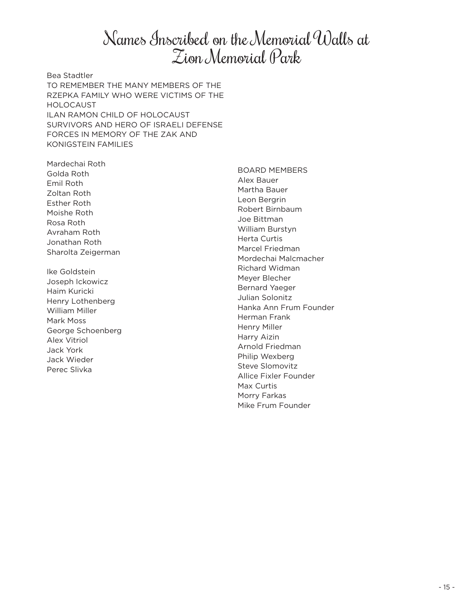Bea Stadtler TO REMEMBER THE MANY MEMBERS OF THE RZEPKA FAMILY WHO WERE VICTIMS OF THE HOLOCAUST ILAN RAMON CHILD OF HOLOCAUST SURVIVORS AND HERO OF ISRAELI DEFENSE FORCES IN MEMORY OF THE ZAK AND KONIGSTEIN FAMILIES

Mardechai Roth Golda Roth Emil Roth Zoltan Roth Esther Roth Moishe Roth Rosa Roth Avraham Roth Jonathan Roth Sharolta Zeigerman

Ike Goldstein Joseph Ickowicz Haim Kuricki Henry Lothenberg William Miller Mark Moss George Schoenberg Alex Vitriol Jack York Jack Wieder Perec Slivka

BOARD MEMBERS Alex Bauer Martha Bauer Leon Bergrin Robert Birnbaum Joe Bittman William Burstyn Herta Curtis Marcel Friedman Mordechai Malcmacher Richard Widman Meyer Blecher Bernard Yaeger Julian Solonitz Hanka Ann Frum Founder Herman Frank Henry Miller Harry Aizin Arnold Friedman Philip Wexberg Steve Slomovitz Allice Fixler Founder Max Curtis Morry Farkas Mike Frum Founder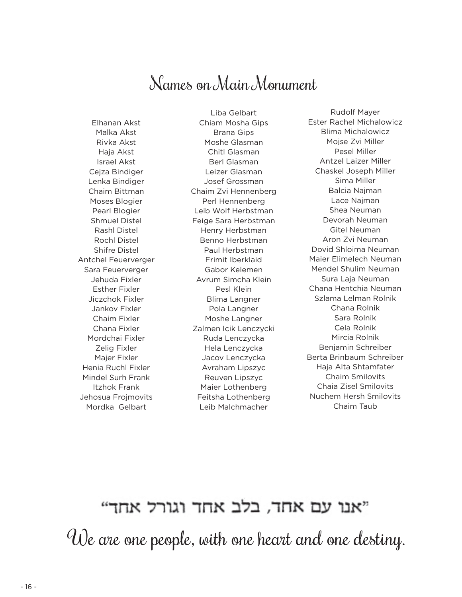## Names on Main Monument

Elhanan Akst Malka Akst Rivka Akst Haja Akst Israel Akst Cejza Bindiger Lenka Bindiger Chaim Bittman Moses Blogier Pearl Blogier Shmuel Distel Rashl Distel Rochl Distel Shifre Distel Antchel Feuerverger Sara Feuerverger Jehuda Fixler Esther Fixler Jiczchok Fixler Jankov Fixler Chaim Fixler Chana Fixler Mordchai Fixler Zelig Fixler Majer Fixler Henia Ruchl Fixler Mindel Surh Frank Itzhok Frank Jehosua Frojmovits Mordka Gelbart

Liba Gelbart Chiam Mosha Gips Brana Gips Moshe Glasman Chitl Glasman Berl Glasman Leizer Glasman Josef Grossman Chaim Zvi Hennenberg Perl Hennenberg Leib Wolf Herbstman Feige Sara Herbstman Henry Herbstman Benno Herbstman Paul Herbstman Frimit Iberklaid Gabor Kelemen Avrum Simcha Klein Pesl Klein Blima Langner Pola Langner Moshe Langner Zalmen Icik Lenczycki Ruda Lenczycka Hela Lenczycka Jacov Lenczycka Avraham Lipszyc Reuven Lipszyc Maier Lothenberg Feitsha Lothenberg Leib Malchmacher

Rudolf Mayer Ester Rachel Michalowicz Blima Michalowicz Mojse Zvi Miller Pesel Miller Antzel Laizer Miller Chaskel Joseph Miller Sima Miller Balcia Najman Lace Najman Shea Neuman Devorah Neuman Gitel Neuman Aron Zvi Neuman Dovid Shloima Neuman Maier Elimelech Neuman Mendel Shulim Neuman Sura Laja Neuman Chana Hentchia Neuman Szlama Lelman Rolnik Chana Rolnik Sara Rolnik Cela Rolnik Mircia Rolnik Benjamin Schreiber Berta Brinbaum Schreiber Haja Alta Shtamfater Chaim Smilovits Chaia Zisel Smilovits Nuchem Hersh Smilovits Chaim Taub

## ״אנו עם אחד, בלב אחד וגורל אחד״

We are one people, with one heart and one destiny.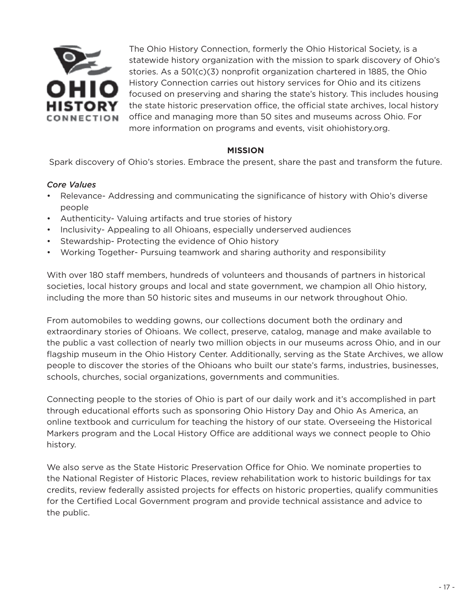

The Ohio History Connection, formerly the Ohio Historical Society, is a statewide history organization with the mission to spark discovery of Ohio's stories. As a  $501(c)(3)$  nonprofit organization chartered in 1885, the Ohio History Connection carries out history services for Ohio and its citizens focused on preserving and sharing the state's history. This includes housing the state historic preservation office, the official state archives, local history office and managing more than 50 sites and museums across Ohio. For more information on programs and events, visit ohiohistory.org.

#### **MISSION**

Spark discovery of Ohio's stories. Embrace the present, share the past and transform the future.

#### *Core Values*

- Relevance- Addressing and communicating the significance of history with Ohio's diverse people
- Authenticity- Valuing artifacts and true stories of history
- Inclusivity- Appealing to all Ohioans, especially underserved audiences
- Stewardship- Protecting the evidence of Ohio history
- Working Together- Pursuing teamwork and sharing authority and responsibility

With over 180 staff members, hundreds of volunteers and thousands of partners in historical societies, local history groups and local and state government, we champion all Ohio history, including the more than 50 historic sites and museums in our network throughout Ohio.

From automobiles to wedding gowns, our collections document both the ordinary and extraordinary stories of Ohioans. We collect, preserve, catalog, manage and make available to the public a vast collection of nearly two million objects in our museums across Ohio, and in our flagship museum in the Ohio History Center. Additionally, serving as the State Archives, we allow people to discover the stories of the Ohioans who built our state's farms, industries, businesses, schools, churches, social organizations, governments and communities.

Connecting people to the stories of Ohio is part of our daily work and it's accomplished in part through educational efforts such as sponsoring Ohio History Day and Ohio As America, an online textbook and curriculum for teaching the history of our state. Overseeing the Historical Markers program and the Local History Office are additional ways we connect people to Ohio history.

We also serve as the State Historic Preservation Office for Ohio. We nominate properties to the National Register of Historic Places, review rehabilitation work to historic buildings for tax credits, review federally assisted projects for effects on historic properties, qualify communities for the Certified Local Government program and provide technical assistance and advice to the public.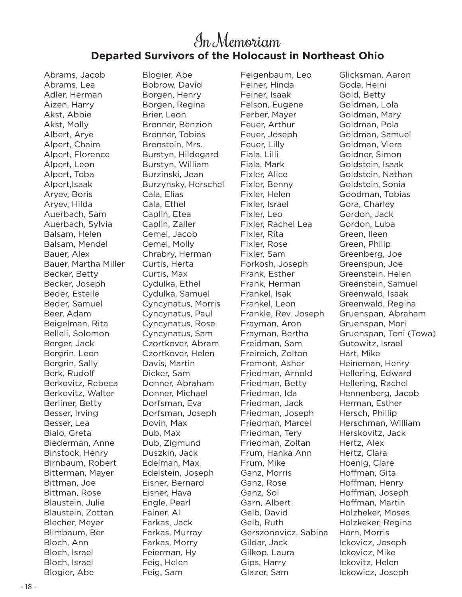## In Memoriam **Departed Survivors of the Holocaust in Northeast Ohio**

Abrams, Jacob Abrams, Lea Adler, Herman Aizen, Harry Akst, Abbie Akst, Molly Albert, Arye Alpert, Chaim Alpert, Florence Alpert, Leon Alpert, Toba Alpert,Isaak Aryev, Boris Aryev, Hilda Auerbach, Sam Auerbach, Sylvia Balsam, Helen Balsam, Mendel Bauer, Alex Bauer, Martha Miller Becker, Betty Becker, Joseph Beder, Estelle Beder, Samuel Beer, Adam Beigelman, Rita Belleli, Solomon Berger, Jack Bergrin, Leon Bergrin, Sally Berk, Rudolf Berkovitz, Rebeca Berkovitz, Walter Berliner, Betty Besser, Irving Besser, Lea Bialo, Greta Biederman, Anne Binstock, Henry Birnbaum, Robert Bitterman, Mayer Bittman, Joe Bittman, Rose Blaustein, Julie Blaustein, Zottan Blecher, Meyer Blimbaum, Ber Bloch, Ann Bloch, Israel Bloch, Israel Blogier, Abe

Blogier, Abe Bobrow, David Borgen, Henry Borgen, Regina Brier, Leon Bronner, Benzion Bronner, Tobias Bronstein, Mrs. Burstyn, Hildegard Burstyn, William Burzinski, Jean Burzynsky, Herschel Cala, Elias Cala, Ethel Caplin, Etea Caplin, Zaller Cemel, Jacob Cemel, Molly Chrabry, Herman Curtis, Herta Curtis, Max Cydulka, Ethel Cydulka, Samuel Cyncynatus, Morris Cyncynatus, Paul Cyncynatus, Rose Cyncynatus, Sam Czortkover, Abram Czortkover, Helen Davis, Martin Dicker, Sam Donner, Abraham Donner, Michael Dorfsman, Eva Dorfsman, Joseph Dovin, Max Dub, Max Dub, Zigmund Duszkin, Jack Edelman, Max Edelstein, Joseph Eisner, Bernard Eisner, Hava Engle, Pearl Fainer, Al Farkas, Jack Farkas, Murray Farkas, Morry Feierman, Hy Feig, Helen Feig, Sam

Feigenbaum, Leo Feiner, Hinda Feiner, Isaak Felson, Eugene Ferber, Mayer Feuer, Arthur Feuer, Joseph Feuer, Lilly Fiala, Lilli Fiala, Mark Fixler, Alice Fixler, Benny Fixler, Helen Fixler, Israel Fixler, Leo Fixler, Rachel Lea Fixler, Rita Fixler, Rose Fixler, Sam Forkosh, Joseph Frank, Esther Frank, Herman Frankel, Isak Frankel, Leon Frankle, Rev. Joseph Frayman, Aron Frayman, Bertha Freidman, Sam Freireich, Zolton Fremont, Asher Friedman, Arnold Friedman, Betty Friedman, Ida Friedman, Jack Friedman, Joseph Friedman, Marcel Friedman, Tery Friedman, Zoltan Frum, Hanka Ann Frum, Mike Ganz, Morris Ganz, Rose Ganz, Sol Garn, Albert Gelb, David Gelb, Ruth Gerszonovicz, Sabina Gildar, Jack Gilkop, Laura Gips, Harry Glazer, Sam

Glicksman, Aaron Goda, Heini Gold, Betty Goldman, Lola Goldman, Mary Goldman, Pola Goldman, Samuel Goldman, Viera Goldner, Simon Goldstein, Isaak Goldstein, Nathan Goldstein, Sonia Goodman, Tobias Gora, Charley Gordon, Jack Gordon, Luba Green, Ileen Green, Philip Greenberg, Joe Greenspun, Joe Greenstein, Helen Greenstein, Samuel Greenwald, Isaak Greenwald, Regina Gruenspan, Abraham Gruenspan, Mori Gruenspan, Toni (Towa) Gutowitz, Israel Hart, Mike Heineman, Henry Hellering, Edward Hellering, Rachel Hennenberg, Jacob Herman, Esther Hersch, Phillip Herschman, William Herskovitz, Jack Hertz, Alex Hertz, Clara Hoenig, Clare Hoffman, Gita Hoffman, Henry Hoffman, Joseph Hoffman, Martin Holzheker, Moses Holzkeker, Regina Horn, Morris Ickovicz, Joseph Ickovicz, Mike Ickovitz, Helen Ickowicz, Joseph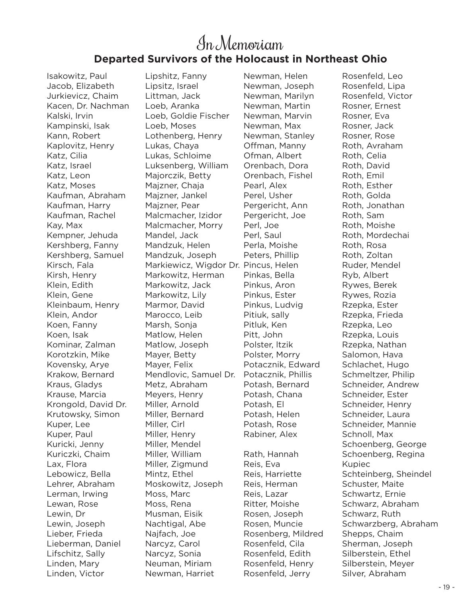## In Memoriam **Departed Survivors of the Holocaust in Northeast Ohio**

Isakowitz, Paul Jacob, Elizabeth Jurkievicz, Chaim Kacen, Dr. Nachman Kalski, Irvin Kampinski, Isak Kann, Robert Kaplovitz, Henry Katz, Cilia Katz, Israel Katz, Leon Katz, Moses Kaufman, Abraham Kaufman, Harry Kaufman, Rachel Kay, Max Kempner, Jehuda Kershberg, Fanny Kershberg, Samuel Kirsch, Fala Kirsh, Henry Klein, Edith Klein, Gene Kleinbaum, Henry Klein, Andor Koen, Fanny Koen, Isak Kominar, Zalman Korotzkin, Mike Kovensky, Arye Krakow, Bernard Kraus, Gladys Krause, Marcia Krongold, David Dr. Krutowsky, Simon Kuper, Lee Kuper, Paul Kuricki, Jenny Kuriczki, Chaim Lax, Flora Lebowicz, Bella Lehrer, Abraham Lerman, Irwing Lewan, Rose Lewin, Dr Lewin, Joseph Lieber, Frieda Lieberman, Daniel Lifschitz, Sally Linden, Mary Linden, Victor

Lipshitz, Fanny Lipsitz, Israel Littman, Jack Loeb, Aranka Loeb, Goldie Fischer Loeb, Moses Lothenberg, Henry Lukas, Chaya Lukas, Schloime Luksenberg, William Majorczik, Betty Majzner, Chaja Majzner, Jankel Majzner, Pear Malcmacher, Izidor Malcmacher, Morry Mandel, Jack Mandzuk, Helen Mandzuk, Joseph Markiewicz, Wigdor Dr. Pincus, Helen Markowitz, Herman Markowitz, Jack Markowitz, Lily Marmor, David Marocco, Leib Marsh, Sonja Matlow, Helen Matlow, Joseph Mayer, Betty Mayer, Felix Mendlovic, Samuel Dr. Metz, Abraham Meyers, Henry Miller, Arnold Miller, Bernard Miller, Cirl Miller, Henry Miller, Mendel Miller, William Miller, Zigmund Mintz, Ethel Moskowitz, Joseph Moss, Marc Moss, Rena Musman, Eisik Nachtigal, Abe Najfach, Joe Narcyz, Carol Narcyz, Sonia Neuman, Miriam Newman, Harriet

Newman, Helen Newman, Joseph Newman, Marilyn Newman, Martin Newman, Marvin Newman, Max Newman, Stanley Offman, Manny Ofman, Albert Orenbach, Dora Orenbach, Fishel Pearl, Alex Perel, Usher Pergericht, Ann Pergericht, Joe Perl, Joe Perl, Saul Perla, Moishe Peters, Phillip Pinkas, Bella Pinkus, Aron Pinkus, Ester Pinkus, Ludvig Pitiuk, sally Pitluk, Ken Pitt, John Polster, ltzik Polster, Morry Potacznik, Edward Potacznik, Phillis Potash, Bernard Potash, Chana Potash, El Potash, Helen Potash, Rose Rabiner, Alex Rath, Hannah Reis, Eva Reis, Harriette Reis, Herman Reis, Lazar Ritter, Moishe Rosen, Joseph Rosen, Muncie Rosenberg, Mildred Rosenfeld, Cila Rosenfeld, Edith Rosenfeld, Henry

Rosenfeld, Jerry

Rosenfeld, Leo Rosenfeld, Lipa Rosenfeld, Victor Rosner, Ernest Rosner, Eva Rosner, Jack Rosner, Rose Roth, Avraham Roth, Celia Roth, David Roth, Emil Roth, Esther Roth, Golda Roth, Jonathan Roth, Sam Roth, Moishe Roth, Mordechai Roth, Rosa Roth, Zoltan Ruder, Mendel Ryb, Albert Rywes, Berek Rywes, Rozia Rzepka, Ester Rzepka, Frieda Rzepka, Leo Rzepka, Louis Rzepka, Nathan Salomon, Hava Schlachet, Hugo Schmeltzer, Philip Schneider, Andrew Schneider, Ester Schneider, Henry Schneider, Laura Schneider, Mannie Schnoll, Max Schoenberg, George Schoenberg, Regina Kupiec Schteinberg, Sheindel Schuster, Maite Schwartz, Ernie Schwarz, Abraham Schwarz, Ruth Schwarzberg, Abraham Shepps, Chaim Sherman, Joseph Silberstein, Ethel Silberstein, Meyer Silver, Abraham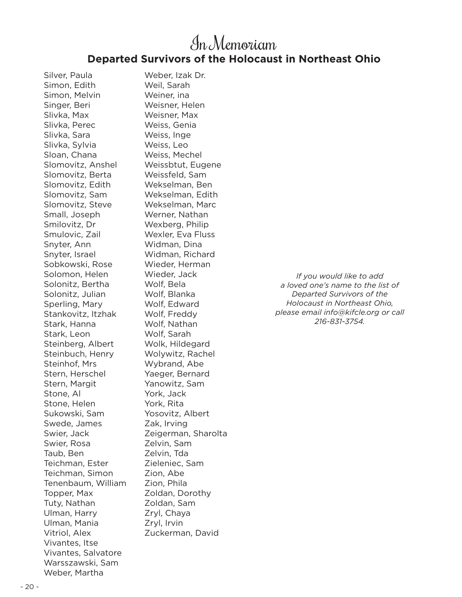## In Memoriam **Departed Survivors of the Holocaust in Northeast Ohio**

Silver, Paula Simon, Edith Simon, Melvin Singer, Beri Slivka, Max Slivka, Perec Slivka, Sara Slivka, Sylvia Sloan, Chana Slomovitz, Anshel Slomovitz, Berta Slomovitz, Edith Slomovitz, Sam Slomovitz, Steve Small, Joseph Smilovitz, Dr Smulovic, Zail Snyter, Ann Snyter, Israel Sobkowski, Rose Solomon, Helen Solonitz, Bertha Solonitz, Julian Sperling, Mary Stankovitz, Itzhak Stark, Hanna Stark, Leon Steinberg, Albert Steinbuch, Henry Steinhof, Mrs Stern, Herschel Stern, Margit Stone, Al Stone, Helen Sukowski, Sam Swede, James Swier, Jack Swier, Rosa Taub, Ben Teichman, Ester Teichman, Simon Tenenbaum, William Topper, Max Tuty, Nathan Ulman, Harry Ulman, Mania Vitriol, Alex Vivantes, Itse Vivantes, Salvatore Warsszawski, Sam Weber, Martha

Weber, Izak Dr. Weil, Sarah Weiner, ina Weisner, Helen Weisner, Max Weiss, Genia Weiss, Inge Weiss, Leo Weiss, Mechel Weissbtut, Eugene Weissfeld, Sam Wekselman, Ben Wekselman, Edith Wekselman, Marc Werner, Nathan Wexberg, Philip Wexler, Eva Fluss Widman, Dina Widman, Richard Wieder, Herman Wieder, Jack Wolf, Bela Wolf, Blanka Wolf, Edward Wolf, Freddy Wolf, Nathan Wolf, Sarah Wolk, Hildegard Wolywitz, Rachel Wybrand, Abe Yaeger, Bernard Yanowitz, Sam York, Jack York, Rita Yosovitz, Albert Zak, Irving Zeigerman, Sharolta Zelvin, Sam Zelvin, Tda Zieleniec, Sam Zion, Abe Zion, Phila Zoldan, Dorothy Zoldan, Sam Zryl, Chaya Zryl, Irvin Zuckerman, David

*If you would like to add a loved one's name to the list of Departed Survivors of the Holocaust in Northeast Ohio, please email info@kifcle.org or call 216-831-3754.*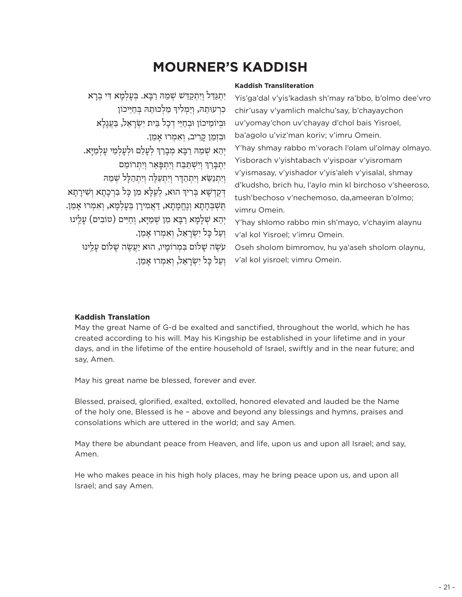## **MOURNER'S KADDISH**

יִתְגַּד<sup>ַ</sup>ל וְיִתְקַדַּשׁ שָׁמֵהּ רַבָּא. בְּעֲלְמֵא דִּי בְרַא כִרעוּתהּ, וִימלִיךְ מלְכוּתָה בַּחיֵּיכוֹן ְוּב ֵ יוֹמ ְ יכוֹן וּבַחֵיּ ְ י דָכ ֵל בּ ִ ית י ְשָׂרֵא ַ ל, בֲּעָגָלא וּבְזָמַן קַרִיב, וְאָמְרוּ אַמֶן. ִיהֵא שַׁמַהּ רִבּא מַבַרךְ לְעַלֹם וּלְעַלְמֵי עַלְמִיּא. יְתִבְּרַךְ וְיִשָׁתַּבַּח וְיִתְפַּאַר וְיִתְרוֹמַם וְיִתְנַשֵּׂא וְיִתְהַדֵּר וְיִתְעֲלֶה וְיִתְהַלַּל שָׁמֶהּ ְדֻּקְד ָשׁ ְא בִּר ְ יְך הוּא, לֵ ֽעָלּ ִא מ ָ ן כּ ִל בְּרָכָת ְא ו ִשָׁירָתא תּשִׁבַּחִתא ונחמתא, דִּאמִירו בַּעלמא, ואמרוּ אַמו. יִהֵא שָׁלָמָא רַבָּא מִן שִׁמַיָּא, וְחַיִּים (טוֹבִים) עַלֵינוּ וְעַל כּל יִשָׂרְאֵל, וְאָמְרוּ אַמֵן. ֿע שׂ שׁ שִׁ שִׁ הַמְרוֹמַיו, הוּא יַעֲשֶׂה שַׁלוֹם עַלֵינוּ וְעַל כַּל יְשָׂרַאֲל, וְאִמְרוּ אַמֶן.

#### **Kaddish Transliteration**

Yis'ga'dal v'yis'kadash sh'may ra'bbo, b'olmo dee'vro chir'usay v'yamlich malchu'say, b'chayaychon uv'yomay'chon uv'chayay d'chol bais Yisroel, ba'agolo u'viz'man koriv; v'imru Omein. Y'hay shmay rabbo m'vorach l'olam ul'olmay olmayo. Yisborach v'yishtabach v'yispoar v'yisromam v'yismasay, v'yishador v'yis'aleh v'yisalal, shmay d'kudsho, brich hu, l'aylo min kl birchoso v'sheeroso, tush'bechoso v'nechemoso, da,ameeran b'olmo; vimru Omein.

Y'hay shlomo rabbo min sh'mayo, v'chayim alaynu v'al kol Yisroel; v'imru Omein.

Oseh sholom bimromov, hu ya'aseh sholom olaynu, v'al kol yisroel; vimru Omein.

#### **Kaddish Translation**

May the great Name of G-d be exalted and sanctified, throughout the world, which he has created according to his will. May his Kingship be established in your lifetime and in your days, and in the lifetime of the entire household of Israel, swiftly and in the near future; and say, Amen.

May his great name be blessed, forever and ever.

Blessed, praised, glorified, exalted, extolled, honored elevated and lauded be the Name of the holy one, Blessed is he – above and beyond any blessings and hymns, praises and consolations which are uttered in the world; and say Amen.

May there be abundant peace from Heaven, and life, upon us and upon all Israel; and say, Amen.

He who makes peace in his high holy places, may he bring peace upon us, and upon all Israel; and say Amen.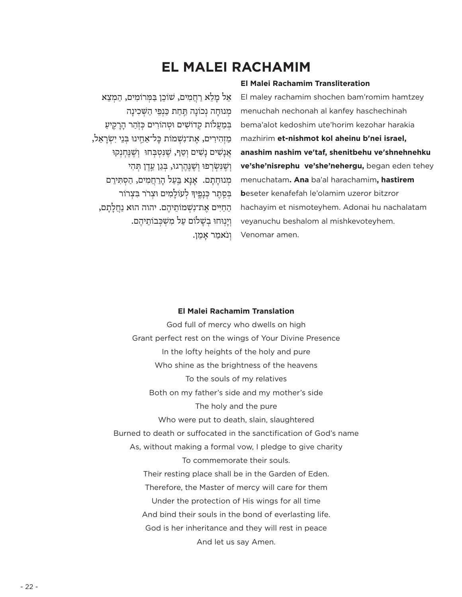## **EL MALEI RACHAMIM**

ֿאֵל מַלֵא רַחֲמִים, שׁוֹכֵן בַּמְרוֹמִים, הַמְצֵא ְמְנוּחַה נְכוֹנַה תַּחַת כַּנְפֵי הַשָּׁכִינַה ָ בַּמַעלוֹת קדוֹשׁים וּטְהוֹרים כּוֹהר הרקיע ַמְזִהִירִים, אֵת־נִשָׁמוֹת כָּל־אַחֱינוּ בִּנֵי יִשְׂרָאֵל, אֲנָשִׁים נָשִׁים וְטַף, שֶׁנִּטְבָחוּ וְשֶׁנֵּחְנִקוּ וְשֶׁנִּשְׂרִפוּ וְשֶׁנֶּהֵרְגוּ, בְּגֵן עֶדֶן תִּהִי ְמְנוּחֲתֵם. אָנַּא בַּעֲל הַרַחֲמִים, הַסְתִּירֵם ַ בְּסֵתֶר כְּנָפֵיךְּ לְעוֹלַמִים וּצָרֹר בִּצְרוֹר ָהַחַיִּים אֵת־נְשָׁמוֹתֵיהֵם. יהוה הוּא נַחֲלַתַם, וְיָנְוּחוּ בִשָׁלוֹם עַל מִשְׁכִּבוֹתֵיהֵם.

#### **El Malei Rachamim Transliteration**

El maley rachamim shochen bam'romim hamtzey menuchah nechonah al kanfey haschechinah bema'alot kedoshim ute'horim kezohar harakia mazhirim **et-nishmot kol aheinu b'nei israel, anashim nashim ve'taf, shenitbehu ve'shnehnehku ve'she'nisrephu ve'she'nehergu,** began eden tehey menuchatam**. Ana** ba'al harachamim**, hastirem b**eseter kenafefah le'olamim uzeror bitzror hachayim et nismoteyhem. Adonai hu nachalatam veyanuchu beshalom al mishkevoteyhem. .<br>יוֹאמַר אַמֵן. Venomar amen.

#### **El Malei Rachamim Translation**

God full of mercy who dwells on high Grant perfect rest on the wings of Your Divine Presence In the lofty heights of the holy and pure Who shine as the brightness of the heavens To the souls of my relatives Both on my father's side and my mother's side The holy and the pure Who were put to death, slain, slaughtered Burned to death or suffocated in the sanctification of God's name As, without making a formal vow, I pledge to give charity To commemorate their souls. Their resting place shall be in the Garden of Eden. Therefore, the Master of mercy will care for them Under the protection of His wings for all time And bind their souls in the bond of everlasting life. God is her inheritance and they will rest in peace And let us say Amen.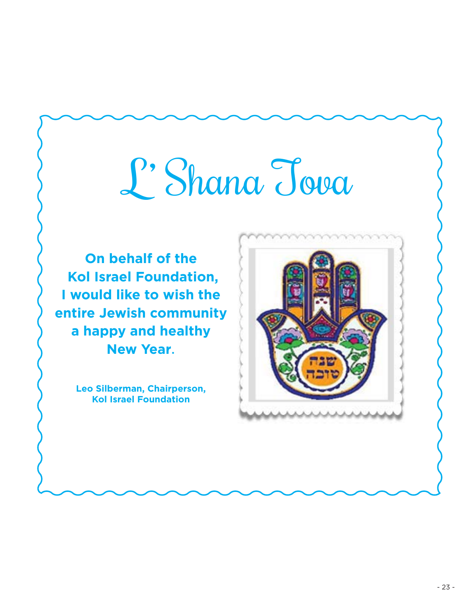# L' Shana Tova

**On behalf of the Kol Israel Foundation, I would like to wish the entire Jewish community a happy and healthy New Year**.

> **Leo Silberman, Chairperson, Kol Israel Foundation**